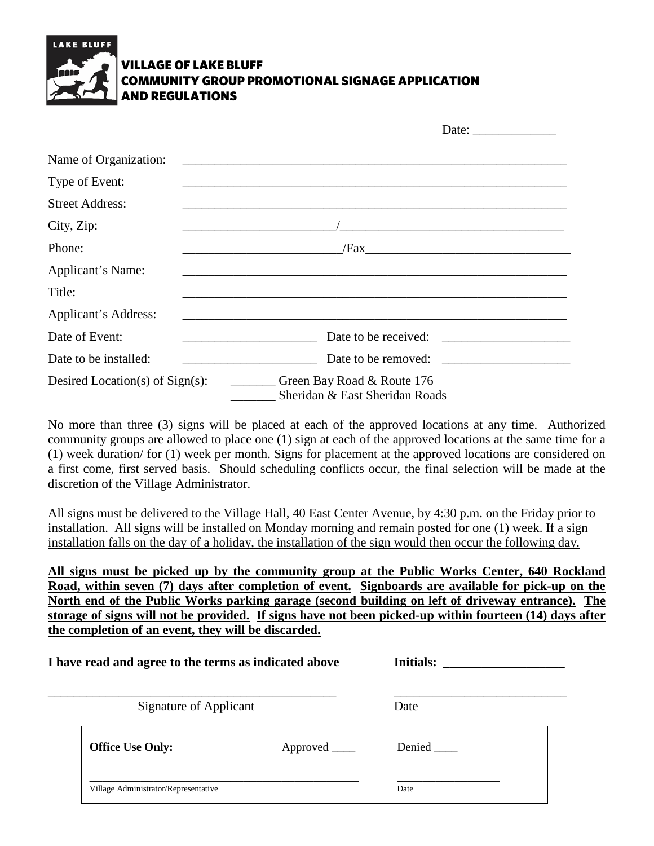

## VILLAGE OF LAKE BLUFF COMMUNITY GROUP PROMOTIONAL SIGNAGE APPLICATION AND REGULATIONS

|                                    | Date: $\frac{1}{\sqrt{1-\frac{1}{2}} \cdot \frac{1}{2}}$     |
|------------------------------------|--------------------------------------------------------------|
| Name of Organization:              |                                                              |
| Type of Event:                     |                                                              |
| <b>Street Address:</b>             |                                                              |
| City, Zip:                         |                                                              |
| Phone:                             |                                                              |
| Applicant's Name:                  |                                                              |
| Title:                             |                                                              |
| Applicant's Address:               |                                                              |
| Date of Event:                     | Date to be received:                                         |
| Date to be installed:              | Date to be removed:                                          |
| Desired Location(s) of $Sign(s)$ : | Green Bay Road & Route 176<br>Sheridan & East Sheridan Roads |

No more than three (3) signs will be placed at each of the approved locations at any time. Authorized community groups are allowed to place one (1) sign at each of the approved locations at the same time for a (1) week duration/ for (1) week per month. Signs for placement at the approved locations are considered on a first come, first served basis. Should scheduling conflicts occur, the final selection will be made at the discretion of the Village Administrator.

All signs must be delivered to the Village Hall, 40 East Center Avenue, by 4:30 p.m. on the Friday prior to installation. All signs will be installed on Monday morning and remain posted for one (1) week. If a sign installation falls on the day of a holiday, the installation of the sign would then occur the following day.

**All signs must be picked up by the community group at the Public Works Center, 640 Rockland Road, within seven (7) days after completion of event. Signboards are available for pick-up on the North end of the Public Works parking garage (second building on left of driveway entrance). The storage of signs will not be provided. If signs have not been picked-up within fourteen (14) days after the completion of an event, they will be discarded.**

| I have read and agree to the terms as indicated above<br>Signature of Applicant |  | <b>Initials:</b><br>Date |  |
|---------------------------------------------------------------------------------|--|--------------------------|--|
|                                                                                 |  |                          |  |
| Village Administrator/Representative                                            |  | Date                     |  |